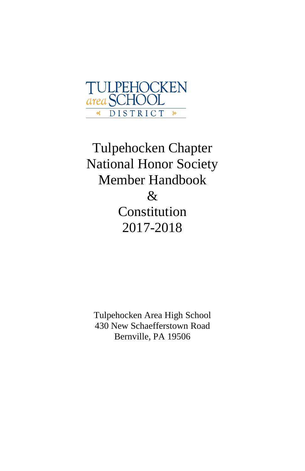

Tulpehocken Chapter National Honor Society Member Handbook & Constitution 2017-2018

Tulpehocken Area High School 430 New Schaefferstown Road Bernville, PA 19506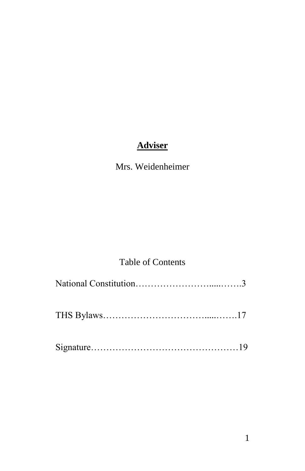# **Adviser**

# Mrs. Weidenheimer

# Table of Contents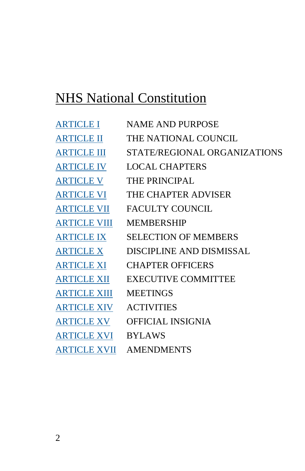# NHS National Constitution

| <b>ARTICLE I</b>    | NAME AND PURPOSE               |
|---------------------|--------------------------------|
| <b>ARTICLE II</b>   | THE NATIONAL COUNCIL           |
| <b>ARTICLE III</b>  | STATE/REGIONAL ORGANIZATIONS   |
| <b>ARTICLE IV</b>   | <b>LOCAL CHAPTERS</b>          |
| <b>ARTICLE V</b>    | <b>THE PRINCIPAL</b>           |
| <b>ARTICLE VI</b>   | THE CHAPTER ADVISER            |
| <b>ARTICLE VII</b>  | <b>FACULTY COUNCIL</b>         |
| <b>ARTICLE VIII</b> | <b>MEMBERSHIP</b>              |
| <b>ARTICLE IX</b>   | <b>SELECTION OF MEMBERS</b>    |
| <b>ARTICLE X</b>    | DISCIPLINE AND DISMISSAL       |
| <b>ARTICLE XI</b>   | <b>CHAPTER OFFICERS</b>        |
| <b>ARTICLE XII</b>  | <b>EXECUTIVE COMMITTEE</b>     |
| <b>ARTICLE XIII</b> | <b>MEETINGS</b>                |
| <b>ARTICLE XIV</b>  | <b>ACTIVITIES</b>              |
| <b>ARTICLE XV</b>   | <b>OFFICIAL INSIGNIA</b>       |
| <b>ARTICLE XVI</b>  | <b>BYLAWS</b>                  |
|                     | <b>ARTICLE XVII AMENDMENTS</b> |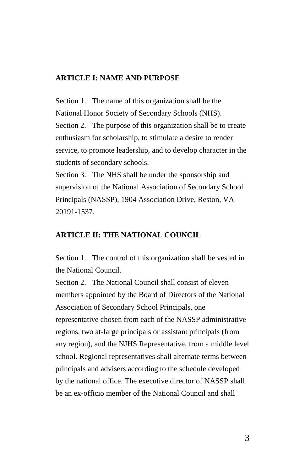#### **ARTICLE I: NAME AND PURPOSE**

Section 1. The name of this organization shall be the National Honor Society of Secondary Schools (NHS). Section 2. The purpose of this organization shall be to create enthusiasm for scholarship, to stimulate a desire to render service, to promote leadership, and to develop character in the students of secondary schools.

Section 3. The NHS shall be under the sponsorship and supervision of the National Association of Secondary School Principals (NASSP), 1904 Association Drive, Reston, VA 20191-1537.

#### **ARTICLE II: THE NATIONAL COUNCIL**

Section 1. The control of this organization shall be vested in the National Council.

Section 2. The National Council shall consist of eleven members appointed by the Board of Directors of the National Association of Secondary School Principals, one representative chosen from each of the NASSP administrative regions, two at-large principals or assistant principals (from any region), and the NJHS Representative, from a middle level school. Regional representatives shall alternate terms between principals and advisers according to the schedule developed by the national office. The executive director of NASSP shall be an ex-officio member of the National Council and shall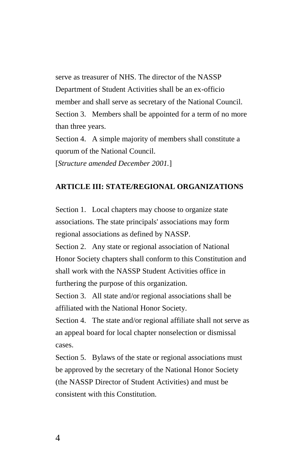serve as treasurer of NHS. The director of the NASSP Department of Student Activities shall be an ex-officio member and shall serve as secretary of the National Council. Section 3. Members shall be appointed for a term of no more than three years.

Section 4. A simple majority of members shall constitute a quorum of the National Council. [*Structure amended December 2001.*]

#### **ARTICLE III: STATE/REGIONAL ORGANIZATIONS**

Section 1. Local chapters may choose to organize state associations. The state principals' associations may form regional associations as defined by NASSP.

Section 2. Any state or regional association of National Honor Society chapters shall conform to this Constitution and shall work with the NASSP Student Activities office in furthering the purpose of this organization.

Section 3. All state and/or regional associations shall be affiliated with the National Honor Society.

Section 4. The state and/or regional affiliate shall not serve as an appeal board for local chapter nonselection or dismissal cases.

Section 5. Bylaws of the state or regional associations must be approved by the secretary of the National Honor Society (the NASSP Director of Student Activities) and must be consistent with this Constitution.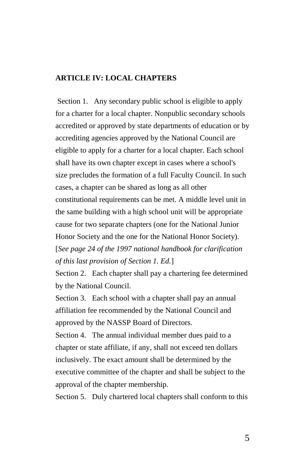# **ARTICLE IV: LOCAL CHAPTERS**

Section 1. Any secondary public school is eligible to apply for a charter for a local chapter. Nonpublic secondary schools accredited or approved by state departments of education or by accrediting agencies approved by the National Council are eligible to apply for a charter for a local chapter. Each school shall have its own chapter except in cases where a school's size precludes the formation of a full Faculty Council. In such cases, a chapter can be shared as long as all other constitutional requirements can be met. A middle level unit in the same building with a high school unit will be appropriate cause for two separate chapters (one for the National Junior Honor Society and the one for the National Honor Society). [*See page 24 of the 1997 national handbook for clarification of this last provision of Section 1. Ed.*]

Section 2. Each chapter shall pay a chartering fee determined by the National Council.

Section 3. Each school with a chapter shall pay an annual affiliation fee recommended by the National Council and approved by the NASSP Board of Directors.

Section 4. The annual individual member dues paid to a chapter or state affiliate, if any, shall not exceed ten dollars inclusively. The exact amount shall be determined by the executive committee of the chapter and shall be subject to the approval of the chapter membership.

Section 5. Duly chartered local chapters shall conform to this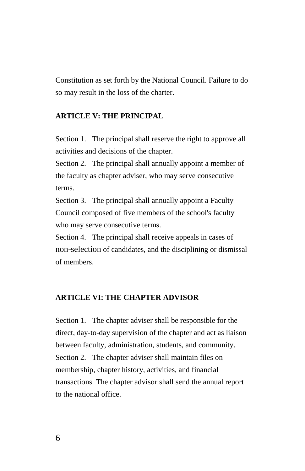Constitution as set forth by the National Council. Failure to do so may result in the loss of the charter.

#### **ARTICLE V: THE PRINCIPAL**

Section 1. The principal shall reserve the right to approve all activities and decisions of the chapter.

Section 2. The principal shall annually appoint a member of the faculty as chapter adviser, who may serve consecutive terms.

Section 3. The principal shall annually appoint a Faculty Council composed of five members of the school's faculty who may serve consecutive terms.

Section 4. The principal shall receive appeals in cases of non-selection of candidates, and the disciplining or dismissal of members.

#### **ARTICLE VI: THE CHAPTER ADVISOR**

Section 1. The chapter adviser shall be responsible for the direct, day-to-day supervision of the chapter and act as liaison between faculty, administration, students, and community. Section 2. The chapter adviser shall maintain files on membership, chapter history, activities, and financial transactions. The chapter advisor shall send the annual report to the national office.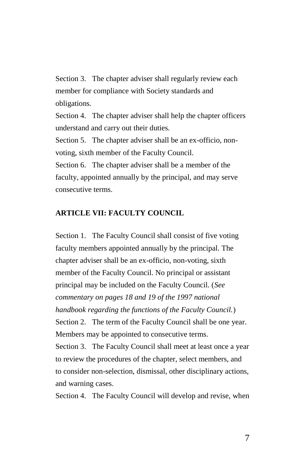Section 3. The chapter adviser shall regularly review each member for compliance with Society standards and obligations.

Section 4. The chapter adviser shall help the chapter officers understand and carry out their duties.

Section 5. The chapter adviser shall be an ex-officio, nonvoting, sixth member of the Faculty Council.

Section 6. The chapter adviser shall be a member of the faculty, appointed annually by the principal, and may serve consecutive terms.

#### **ARTICLE VII: FACULTY COUNCIL**

Section 1. The Faculty Council shall consist of five voting faculty members appointed annually by the principal. The chapter adviser shall be an ex-officio, non-voting, sixth member of the Faculty Council. No principal or assistant principal may be included on the Faculty Council. (*See commentary on pages 18 and 19 of the 1997 national handbook regarding the functions of the Faculty Council.*) Section 2. The term of the Faculty Council shall be one year. Members may be appointed to consecutive terms. Section 3. The Faculty Council shall meet at least once a year to review the procedures of the chapter, select members, and to consider non-selection, dismissal, other disciplinary actions,

and warning cases.

Section 4. The Faculty Council will develop and revise, when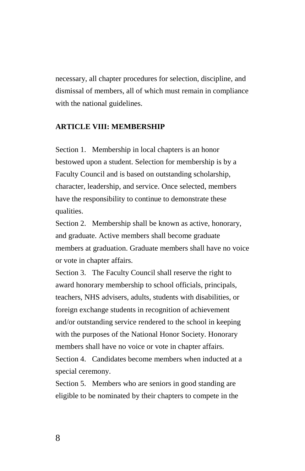necessary, all chapter procedures for selection, discipline, and dismissal of members, all of which must remain in compliance with the national guidelines.

#### **ARTICLE VIII: MEMBERSHIP**

Section 1. Membership in local chapters is an honor bestowed upon a student. Selection for membership is by a Faculty Council and is based on outstanding scholarship, character, leadership, and service. Once selected, members have the responsibility to continue to demonstrate these qualities.

Section 2. Membership shall be known as active, honorary, and graduate. Active members shall become graduate members at graduation. Graduate members shall have no voice or vote in chapter affairs.

Section 3. The Faculty Council shall reserve the right to award honorary membership to school officials, principals, teachers, NHS advisers, adults, students with disabilities, or foreign exchange students in recognition of achievement and/or outstanding service rendered to the school in keeping with the purposes of the National Honor Society. Honorary members shall have no voice or vote in chapter affairs. Section 4. Candidates become members when inducted at a special ceremony.

Section 5. Members who are seniors in good standing are eligible to be nominated by their chapters to compete in the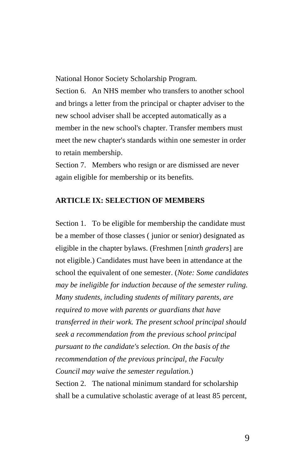National Honor Society Scholarship Program.

Section 6. An NHS member who transfers to another school and brings a letter from the principal or chapter adviser to the new school adviser shall be accepted automatically as a member in the new school's chapter. Transfer members must meet the new chapter's standards within one semester in order to retain membership.

Section 7. Members who resign or are dismissed are never again eligible for membership or its benefits.

#### **ARTICLE IX: SELECTION OF MEMBERS**

Section 1. To be eligible for membership the candidate must be a member of those classes ( junior or senior) designated as eligible in the chapter bylaws. (Freshmen [*ninth graders*] are not eligible.) Candidates must have been in attendance at the school the equivalent of one semester. (*Note: Some candidates may be ineligible for induction because of the semester ruling. Many students, including students of military parents, are required to move with parents or guardians that have transferred in their work. The present school principal should seek a recommendation from the previous school principal pursuant to the candidate's selection. On the basis of the recommendation of the previous principal, the Faculty Council may waive the semester regulation.*)

Section 2. The national minimum standard for scholarship shall be a cumulative scholastic average of at least 85 percent,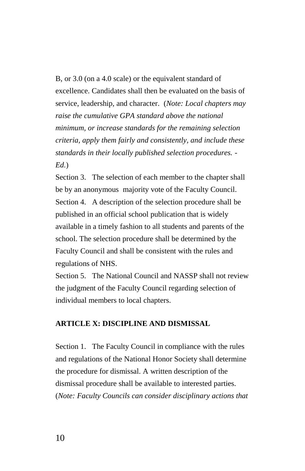B, or 3.0 (on a 4.0 scale) or the equivalent standard of excellence. Candidates shall then be evaluated on the basis of service, leadership, and character. (*Note: Local chapters may raise the cumulative GPA standard above the national minimum, or increase standards for the remaining selection criteria, apply them fairly and consistently, and include these standards in their locally published selection procedures. - Ed.*)

Section 3. The selection of each member to the chapter shall be by an anonymous majority vote of the Faculty Council. Section 4. A description of the selection procedure shall be published in an official school publication that is widely available in a timely fashion to all students and parents of the school. The selection procedure shall be determined by the Faculty Council and shall be consistent with the rules and regulations of NHS.

Section 5. The National Council and NASSP shall not review the judgment of the Faculty Council regarding selection of individual members to local chapters.

# **ARTICLE X: DISCIPLINE AND DISMISSAL**

Section 1. The Faculty Council in compliance with the rules and regulations of the National Honor Society shall determine the procedure for dismissal. A written description of the dismissal procedure shall be available to interested parties. (*Note: Faculty Councils can consider disciplinary actions that*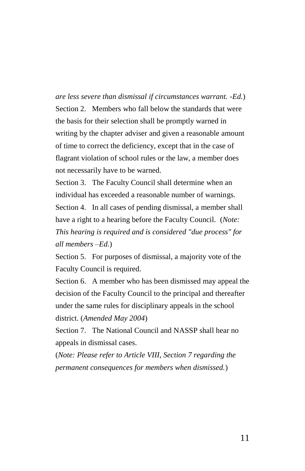*are less severe than dismissal if circumstances warrant. -Ed.*) Section 2. Members who fall below the standards that were the basis for their selection shall be promptly warned in writing by the chapter adviser and given a reasonable amount of time to correct the deficiency, except that in the case of flagrant violation of school rules or the law, a member does not necessarily have to be warned.

Section 3. The Faculty Council shall determine when an individual has exceeded a reasonable number of warnings. Section 4. In all cases of pending dismissal, a member shall have a right to a hearing before the Faculty Council. (*Note: This hearing is required and is considered "due process" for all members –Ed.*)

Section 5. For purposes of dismissal, a majority vote of the Faculty Council is required.

Section 6. A member who has been dismissed may appeal the decision of the Faculty Council to the principal and thereafter under the same rules for disciplinary appeals in the school district. (*Amended May 2004*)

Section 7. The National Council and NASSP shall hear no appeals in dismissal cases.

(*Note: Please refer to Article VIII, Section 7 regarding the permanent consequences for members when dismissed.*)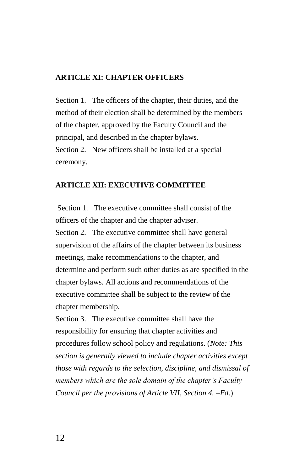#### **ARTICLE XI: CHAPTER OFFICERS**

Section 1. The officers of the chapter, their duties, and the method of their election shall be determined by the members of the chapter, approved by the Faculty Council and the principal, and described in the chapter bylaws. Section 2. New officers shall be installed at a special ceremony.

## **ARTICLE XII: EXECUTIVE COMMITTEE**

Section 1. The executive committee shall consist of the officers of the chapter and the chapter adviser. Section 2. The executive committee shall have general supervision of the affairs of the chapter between its business meetings, make recommendations to the chapter, and determine and perform such other duties as are specified in the chapter bylaws. All actions and recommendations of the executive committee shall be subject to the review of the chapter membership.

Section 3. The executive committee shall have the responsibility for ensuring that chapter activities and procedures follow school policy and regulations. (*Note: This section is generally viewed to include chapter activities except those with regards to the selection, discipline, and dismissal of members which are the sole domain of the chapter's Faculty Council per the provisions of Article VII, Section 4. –Ed.*)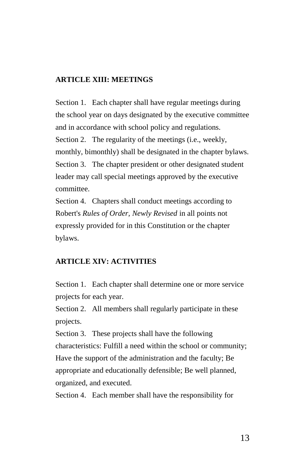## **ARTICLE XIII: MEETINGS**

Section 1. Each chapter shall have regular meetings during the school year on days designated by the executive committee and in accordance with school policy and regulations. Section 2. The regularity of the meetings (i.e., weekly, monthly, bimonthly) shall be designated in the chapter bylaws. Section 3. The chapter president or other designated student leader may call special meetings approved by the executive committee.

Section 4. Chapters shall conduct meetings according to Robert's *Rules of Order, Newly Revised* in all points not expressly provided for in this Constitution or the chapter bylaws.

#### **ARTICLE XIV: ACTIVITIES**

Section 1. Each chapter shall determine one or more service projects for each year.

Section 2. All members shall regularly participate in these projects.

Section 3. These projects shall have the following characteristics: Fulfill a need within the school or community; Have the support of the administration and the faculty; Be appropriate and educationally defensible; Be well planned, organized, and executed.

Section 4. Each member shall have the responsibility for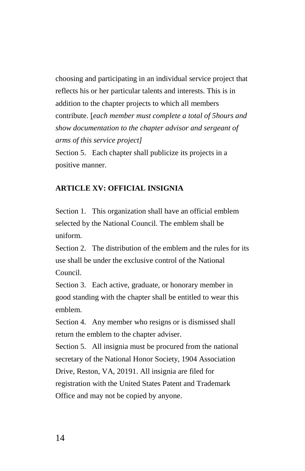choosing and participating in an individual service project that reflects his or her particular talents and interests. This is in addition to the chapter projects to which all members contribute. [*each member must complete a total of 5hours and show documentation to the chapter advisor and sergeant of arms of this service project]*

Section 5. Each chapter shall publicize its projects in a positive manner.

## **ARTICLE XV: OFFICIAL INSIGNIA**

Section 1. This organization shall have an official emblem selected by the National Council. The emblem shall be uniform.

Section 2. The distribution of the emblem and the rules for its use shall be under the exclusive control of the National Council.

Section 3. Each active, graduate, or honorary member in good standing with the chapter shall be entitled to wear this emblem.

Section 4. Any member who resigns or is dismissed shall return the emblem to the chapter adviser.

Section 5. All insignia must be procured from the national secretary of the National Honor Society, 1904 Association Drive, Reston, VA, 20191. All insignia are filed for registration with the United States Patent and Trademark Office and may not be copied by anyone.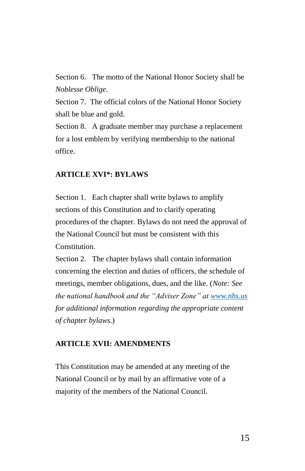Section 6. The motto of the National Honor Society shall be *Noblesse Oblige*.

Section 7. The official colors of the National Honor Society shall be blue and gold.

Section 8. A graduate member may purchase a replacement for a lost emblem by verifying membership to the national office.

## **ARTICLE XVI\*: BYLAWS**

Section 1. Each chapter shall write bylaws to amplify sections of this Constitution and to clarify operating procedures of the chapter. Bylaws do not need the approval of the National Council but must be consistent with this Constitution.

Section 2. The chapter bylaws shall contain information concerning the election and duties of officers, the schedule of meetings, member obligations, dues, and the like. (*Note: See the national handbook and the "Adviser Zone" at [www.nhs.us](http://www.nhs.us/) for additional information regarding the appropriate content of chapter bylaws.*)

#### **ARTICLE XVII: AMENDMENTS**

This Constitution may be amended at any meeting of the National Council or by mail by an affirmative vote of a majority of the members of the National Council.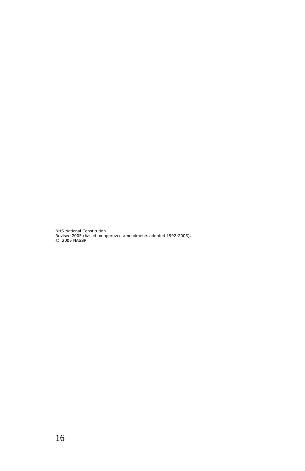NHS National Constitution Revised 2005 (based on approved amendments adopted 1992-2005). © 2005 NASSP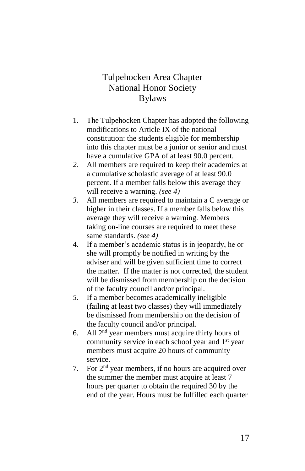# Tulpehocken Area Chapter National Honor Society Bylaws

- 1. The Tulpehocken Chapter has adopted the following modifications to Article IX of the national constitution: the students eligible for membership into this chapter must be a junior or senior and must have a cumulative GPA of at least 90.0 percent.
- *2.* All members are required to keep their academics at a cumulative scholastic average of at least 90.0 percent. If a member falls below this average they will receive a warning. *(see 4)*
- *3.* All members are required to maintain a C average or higher in their classes. If a member falls below this average they will receive a warning. Members taking on-line courses are required to meet these same standards. *(see 4)*
- 4. If a member's academic status is in jeopardy, he or she will promptly be notified in writing by the adviser and will be given sufficient time to correct the matter. If the matter is not corrected, the student will be dismissed from membership on the decision of the faculty council and/or principal.
- *5.* If a member becomes academically ineligible (failing at least two classes) they will immediately be dismissed from membership on the decision of the faculty council and/or principal.
- 6. All  $2<sup>nd</sup>$  year members must acquire thirty hours of community service in each school year and 1<sup>st</sup> year members must acquire 20 hours of community service.
- 7. For 2<sup>nd</sup> year members, if no hours are acquired over the summer the member must acquire at least 7 hours per quarter to obtain the required 30 by the end of the year. Hours must be fulfilled each quarter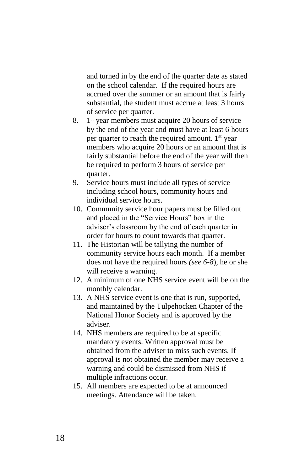and turned in by the end of the quarter date as stated on the school calendar. If the required hours are accrued over the summer or an amount that is fairly substantial, the student must accrue at least 3 hours of service per quarter.

- 8. 1 st year members must acquire 20 hours of service by the end of the year and must have at least 6 hours per quarter to reach the required amount.  $1<sup>st</sup>$  year members who acquire 20 hours or an amount that is fairly substantial before the end of the year will then be required to perform 3 hours of service per quarter.
- 9. Service hours must include all types of service including school hours, community hours and individual service hours.
- 10. Community service hour papers must be filled out and placed in the "Service Hours" box in the adviser's classroom by the end of each quarter in order for hours to count towards that quarter.
- 11. The Historian will be tallying the number of community service hours each month. If a member does not have the required hours *(see 6-8*), he or she will receive a warning.
- 12. A minimum of one NHS service event will be on the monthly calendar.
- 13. A NHS service event is one that is run, supported, and maintained by the Tulpehocken Chapter of the National Honor Society and is approved by the adviser.
- 14. NHS members are required to be at specific mandatory events. Written approval must be obtained from the adviser to miss such events. If approval is not obtained the member may receive a warning and could be dismissed from NHS if multiple infractions occur.
- 15. All members are expected to be at announced meetings. Attendance will be taken.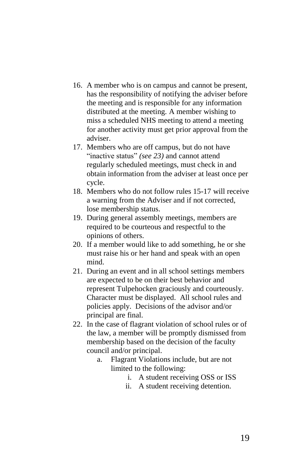- 16. A member who is on campus and cannot be present, has the responsibility of notifying the adviser before the meeting and is responsible for any information distributed at the meeting. A member wishing to miss a scheduled NHS meeting to attend a meeting for another activity must get prior approval from the adviser.
- 17. Members who are off campus, but do not have "inactive status" *(see 23)* and cannot attend regularly scheduled meetings, must check in and obtain information from the adviser at least once per cycle.
- 18. Members who do not follow rules 15-17 will receive a warning from the Adviser and if not corrected, lose membership status.
- 19. During general assembly meetings, members are required to be courteous and respectful to the opinions of others.
- 20. If a member would like to add something, he or she must raise his or her hand and speak with an open mind.
- 21. During an event and in all school settings members are expected to be on their best behavior and represent Tulpehocken graciously and courteously. Character must be displayed. All school rules and policies apply. Decisions of the advisor and/or principal are final.
- 22. In the case of flagrant violation of school rules or of the law, a member will be promptly dismissed from membership based on the decision of the faculty council and/or principal.
	- a. Flagrant Violations include, but are not limited to the following:
		- i. A student receiving OSS or ISS
		- ii. A student receiving detention.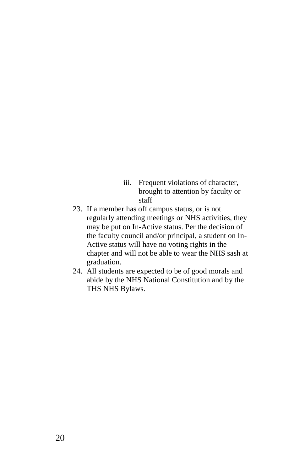- iii. Frequent violations of character, brought to attention by faculty or staff
- 23. If a member has off campus status, or is not regularly attending meetings or NHS activities, they may be put on In-Active status. Per the decision of the faculty council and/or principal, a student on In-Active status will have no voting rights in the chapter and will not be able to wear the NHS sash at graduation.
- 24. All students are expected to be of good morals and abide by the NHS National Constitution and by the THS NHS Bylaws.